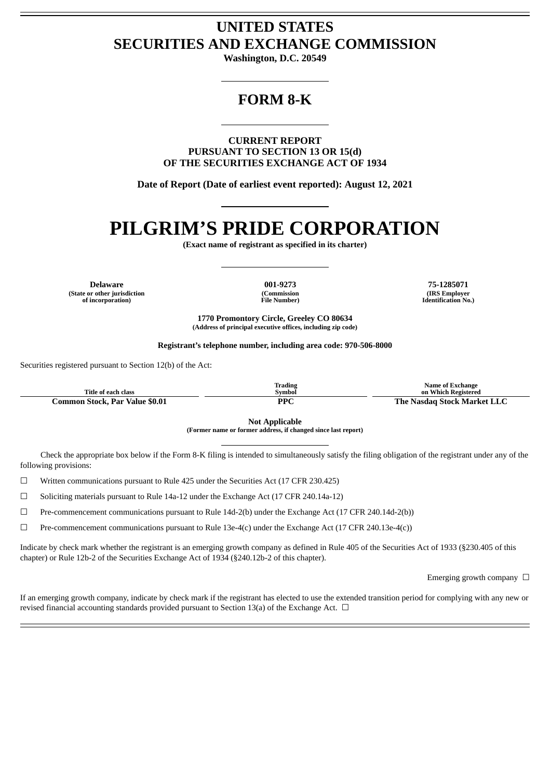## **UNITED STATES SECURITIES AND EXCHANGE COMMISSION**

**Washington, D.C. 20549**

## **FORM 8-K**

**CURRENT REPORT PURSUANT TO SECTION 13 OR 15(d) OF THE SECURITIES EXCHANGE ACT OF 1934**

**Date of Report (Date of earliest event reported): August 12, 2021**

# **PILGRIM'S PRIDE CORPORATION**

**(Exact name of registrant as specified in its charter)**

**Delaware 001-9273 75-1285071 (State or other jurisdiction of incorporation)**

**(Commission File Number)**

**(IRS Employer Identification No.)**

**1770 Promontory Circle, Greeley CO 80634 (Address of principal executive offices, including zip code)**

**Registrant's telephone number, including area code: 970-506-8000**

Securities registered pursuant to Section 12(b) of the Act:

| Title of each class            | Trading<br><b>Symbol</b> | Name of Exchange<br>on Which Registered |
|--------------------------------|--------------------------|-----------------------------------------|
| Common Stock, Par Value \$0.01 | <b>PPC</b>               | The Nasdag Stock Market LLC             |

**Not Applicable**

**(Former name or former address, if changed since last report)**

Check the appropriate box below if the Form 8-K filing is intended to simultaneously satisfy the filing obligation of the registrant under any of the following provisions:

☐ Written communications pursuant to Rule 425 under the Securities Act (17 CFR 230.425)

☐ Soliciting materials pursuant to Rule 14a-12 under the Exchange Act (17 CFR 240.14a-12)

☐ Pre-commencement communications pursuant to Rule 14d-2(b) under the Exchange Act (17 CFR 240.14d-2(b))

☐ Pre-commencement communications pursuant to Rule 13e-4(c) under the Exchange Act (17 CFR 240.13e-4(c))

Indicate by check mark whether the registrant is an emerging growth company as defined in Rule 405 of the Securities Act of 1933 (§230.405 of this chapter) or Rule 12b-2 of the Securities Exchange Act of 1934 (§240.12b-2 of this chapter).

Emerging growth company  $\Box$ 

If an emerging growth company, indicate by check mark if the registrant has elected to use the extended transition period for complying with any new or revised financial accounting standards provided pursuant to Section 13(a) of the Exchange Act.  $\Box$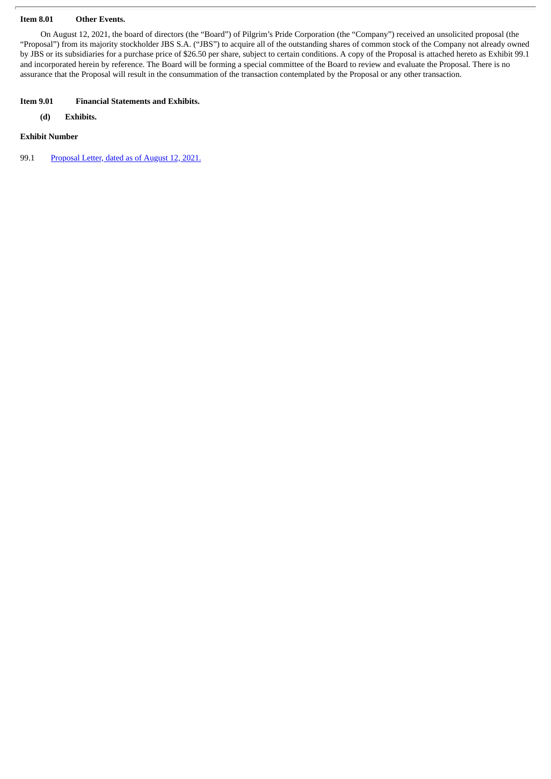#### **Item 8.01 Other Events.**

On August 12, 2021, the board of directors (the "Board") of Pilgrim's Pride Corporation (the "Company") received an unsolicited proposal (the "Proposal") from its majority stockholder JBS S.A. ("JBS") to acquire all of the outstanding shares of common stock of the Company not already owned by JBS or its subsidiaries for a purchase price of \$26.50 per share, subject to certain conditions. A copy of the Proposal is attached hereto as Exhibit 99.1 and incorporated herein by reference. The Board will be forming a special committee of the Board to review and evaluate the Proposal. There is no assurance that the Proposal will result in the consummation of the transaction contemplated by the Proposal or any other transaction.

#### **Item 9.01 Financial Statements and Exhibits.**

**(d) Exhibits.**

#### **Exhibit Number**

99.1 [Proposal](#page-3-0) Letter, dated as of August 12, 2021.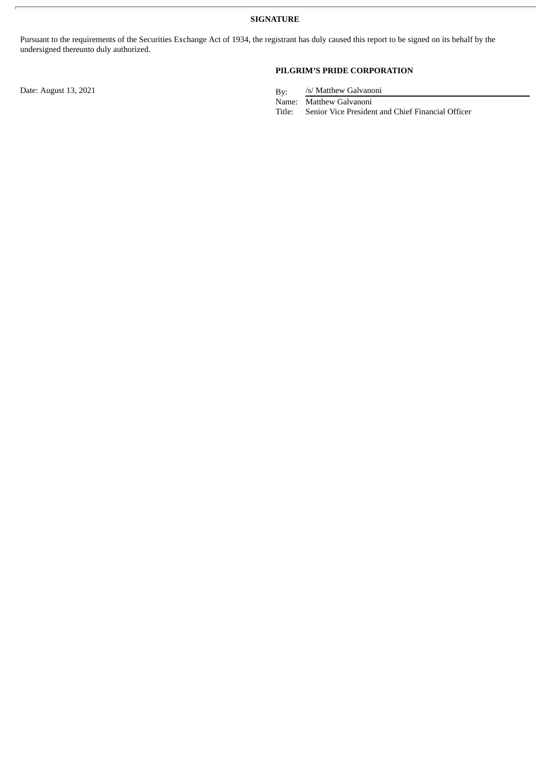**SIGNATURE**

Pursuant to the requirements of the Securities Exchange Act of 1934, the registrant has duly caused this report to be signed on its behalf by the undersigned thereunto duly authorized.

Date: August 13, 2021 By:

### **PILGRIM'S PRIDE CORPORATION**

/s/ Matthew Galvanoni

Name: Matthew Galvanoni

Title: Senior Vice President and Chief Financial Officer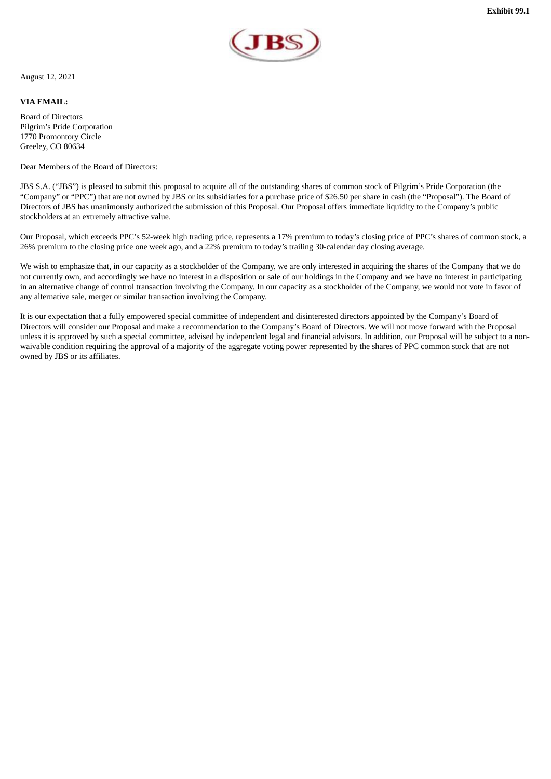

<span id="page-3-0"></span>August 12, 2021

#### **VIA EMAIL:**

Board of Directors Pilgrim's Pride Corporation 1770 Promontory Circle Greeley, CO 80634

#### Dear Members of the Board of Directors:

JBS S.A. ("JBS") is pleased to submit this proposal to acquire all of the outstanding shares of common stock of Pilgrim's Pride Corporation (the "Company" or "PPC") that are not owned by JBS or its subsidiaries for a purchase price of \$26.50 per share in cash (the "Proposal"). The Board of Directors of JBS has unanimously authorized the submission of this Proposal. Our Proposal offers immediate liquidity to the Company's public stockholders at an extremely attractive value.

Our Proposal, which exceeds PPC's 52-week high trading price, represents a 17% premium to today's closing price of PPC's shares of common stock, a 26% premium to the closing price one week ago, and a 22% premium to today's trailing 30-calendar day closing average.

We wish to emphasize that, in our capacity as a stockholder of the Company, we are only interested in acquiring the shares of the Company that we do not currently own, and accordingly we have no interest in a disposition or sale of our holdings in the Company and we have no interest in participating in an alternative change of control transaction involving the Company. In our capacity as a stockholder of the Company, we would not vote in favor of any alternative sale, merger or similar transaction involving the Company.

It is our expectation that a fully empowered special committee of independent and disinterested directors appointed by the Company's Board of Directors will consider our Proposal and make a recommendation to the Company's Board of Directors. We will not move forward with the Proposal unless it is approved by such a special committee, advised by independent legal and financial advisors. In addition, our Proposal will be subject to a nonwaivable condition requiring the approval of a majority of the aggregate voting power represented by the shares of PPC common stock that are not owned by JBS or its affiliates.